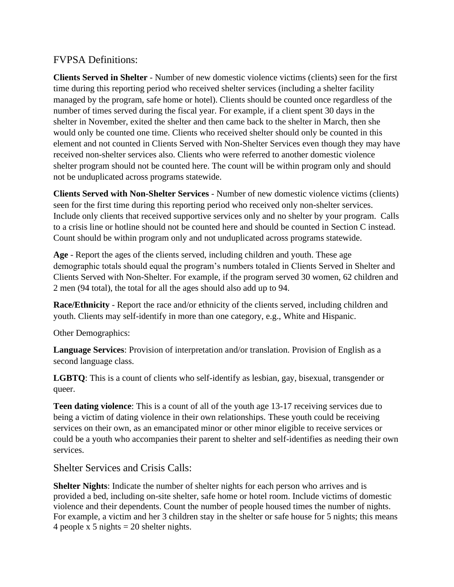## FVPSA Definitions:

**Clients Served in Shelter** - Number of new domestic violence victims (clients) seen for the first time during this reporting period who received shelter services (including a shelter facility managed by the program, safe home or hotel). Clients should be counted once regardless of the number of times served during the fiscal year. For example, if a client spent 30 days in the shelter in November, exited the shelter and then came back to the shelter in March, then she would only be counted one time. Clients who received shelter should only be counted in this element and not counted in Clients Served with Non-Shelter Services even though they may have received non-shelter services also. Clients who were referred to another domestic violence shelter program should not be counted here. The count will be within program only and should not be unduplicated across programs statewide.

**Clients Served with Non-Shelter Services** - Number of new domestic violence victims (clients) seen for the first time during this reporting period who received only non-shelter services. Include only clients that received supportive services only and no shelter by your program. Calls to a crisis line or hotline should not be counted here and should be counted in Section C instead. Count should be within program only and not unduplicated across programs statewide.

**Age** - Report the ages of the clients served, including children and youth. These age demographic totals should equal the program's numbers totaled in Clients Served in Shelter and Clients Served with Non-Shelter. For example, if the program served 30 women, 62 children and 2 men (94 total), the total for all the ages should also add up to 94.

**Race/Ethnicity** - Report the race and/or ethnicity of the clients served, including children and youth. Clients may self-identify in more than one category, e.g., White and Hispanic.

Other Demographics:

**Language Services**: Provision of interpretation and/or translation. Provision of English as a second language class.

**LGBTQ**: This is a count of clients who self-identify as lesbian, gay, bisexual, transgender or queer.

**Teen dating violence**: This is a count of all of the youth age 13-17 receiving services due to being a victim of dating violence in their own relationships. These youth could be receiving services on their own, as an emancipated minor or other minor eligible to receive services or could be a youth who accompanies their parent to shelter and self-identifies as needing their own services.

Shelter Services and Crisis Calls:

**Shelter Nights**: Indicate the number of shelter nights for each person who arrives and is provided a bed, including on-site shelter, safe home or hotel room. Include victims of domestic violence and their dependents. Count the number of people housed times the number of nights. For example, a victim and her 3 children stay in the shelter or safe house for 5 nights; this means 4 people x 5 nights  $= 20$  shelter nights.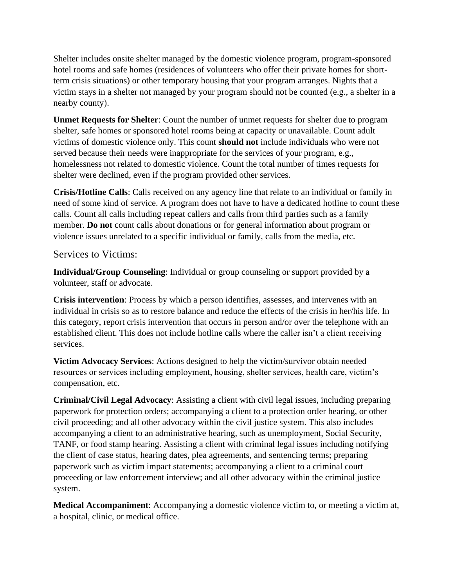Shelter includes onsite shelter managed by the domestic violence program, program-sponsored hotel rooms and safe homes (residences of volunteers who offer their private homes for shortterm crisis situations) or other temporary housing that your program arranges. Nights that a victim stays in a shelter not managed by your program should not be counted (e.g., a shelter in a nearby county).

**Unmet Requests for Shelter**: Count the number of unmet requests for shelter due to program shelter, safe homes or sponsored hotel rooms being at capacity or unavailable. Count adult victims of domestic violence only. This count **should not** include individuals who were not served because their needs were inappropriate for the services of your program, e.g., homelessness not related to domestic violence. Count the total number of times requests for shelter were declined, even if the program provided other services.

**Crisis/Hotline Calls**: Calls received on any agency line that relate to an individual or family in need of some kind of service. A program does not have to have a dedicated hotline to count these calls. Count all calls including repeat callers and calls from third parties such as a family member. **Do not** count calls about donations or for general information about program or violence issues unrelated to a specific individual or family, calls from the media, etc.

## Services to Victims:

**Individual/Group Counseling**: Individual or group counseling or support provided by a volunteer, staff or advocate.

**Crisis intervention**: Process by which a person identifies, assesses, and intervenes with an individual in crisis so as to restore balance and reduce the effects of the crisis in her/his life. In this category, report crisis intervention that occurs in person and/or over the telephone with an established client. This does not include hotline calls where the caller isn't a client receiving services.

**Victim Advocacy Services**: Actions designed to help the victim/survivor obtain needed resources or services including employment, housing, shelter services, health care, victim's compensation, etc.

**Criminal/Civil Legal Advocacy**: Assisting a client with civil legal issues, including preparing paperwork for protection orders; accompanying a client to a protection order hearing, or other civil proceeding; and all other advocacy within the civil justice system. This also includes accompanying a client to an administrative hearing, such as unemployment, Social Security, TANF, or food stamp hearing. Assisting a client with criminal legal issues including notifying the client of case status, hearing dates, plea agreements, and sentencing terms; preparing paperwork such as victim impact statements; accompanying a client to a criminal court proceeding or law enforcement interview; and all other advocacy within the criminal justice system.

**Medical Accompaniment**: Accompanying a domestic violence victim to, or meeting a victim at, a hospital, clinic, or medical office.